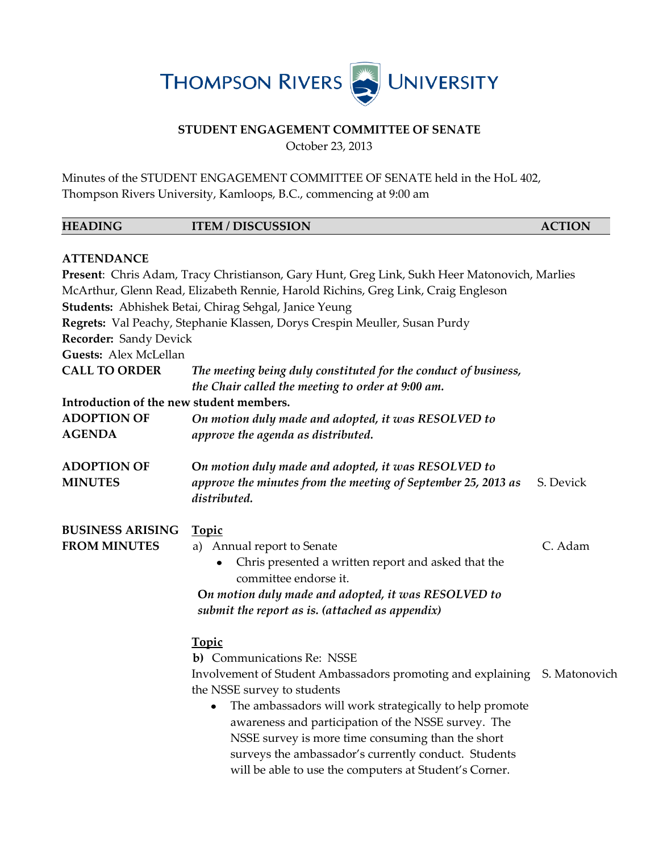

## **STUDENT ENGAGEMENT COMMITTEE OF SENATE**

October 23, 2013

Minutes of the STUDENT ENGAGEMENT COMMITTEE OF SENATE held in the HoL 402, Thompson Rivers University, Kamloops, B.C., commencing at 9:00 am

| <b>HEADING</b>                           | <b>ITEM / DISCUSSION</b>                                                                                             | <b>ACTION</b> |
|------------------------------------------|----------------------------------------------------------------------------------------------------------------------|---------------|
| <b>ATTENDANCE</b>                        |                                                                                                                      |               |
|                                          | Present: Chris Adam, Tracy Christianson, Gary Hunt, Greg Link, Sukh Heer Matonovich, Marlies                         |               |
|                                          | McArthur, Glenn Read, Elizabeth Rennie, Harold Richins, Greg Link, Craig Engleson                                    |               |
|                                          | Students: Abhishek Betai, Chirag Sehgal, Janice Yeung                                                                |               |
|                                          | Regrets: Val Peachy, Stephanie Klassen, Dorys Crespin Meuller, Susan Purdy                                           |               |
| <b>Recorder: Sandy Devick</b>            |                                                                                                                      |               |
| Guests: Alex McLellan                    |                                                                                                                      |               |
| <b>CALL TO ORDER</b>                     | The meeting being duly constituted for the conduct of business,<br>the Chair called the meeting to order at 9:00 am. |               |
| Introduction of the new student members. |                                                                                                                      |               |
| <b>ADOPTION OF</b><br><b>AGENDA</b>      | On motion duly made and adopted, it was RESOLVED to<br>approve the agenda as distributed.                            |               |
| <b>ADOPTION OF</b>                       | On motion duly made and adopted, it was RESOLVED to                                                                  |               |
| <b>MINUTES</b>                           | approve the minutes from the meeting of September 25, 2013 as<br>distributed.                                        | S. Devick     |
| <b>BUSINESS ARISING</b>                  | <b>Topic</b>                                                                                                         |               |
| <b>FROM MINUTES</b>                      | a) Annual report to Senate                                                                                           | C. Adam       |
|                                          | Chris presented a written report and asked that the<br>committee endorse it.                                         |               |
|                                          | On motion duly made and adopted, it was RESOLVED to                                                                  |               |
|                                          | submit the report as is. (attached as appendix)                                                                      |               |
|                                          | <b>Topic</b>                                                                                                         |               |
|                                          | b) Communications Re: NSSE                                                                                           |               |
|                                          | Involvement of Student Ambassadors promoting and explaining S. Matonovich                                            |               |
|                                          | the NSSE survey to students                                                                                          |               |
|                                          | The ambassadors will work strategically to help promote<br>٠                                                         |               |
|                                          | awareness and participation of the NSSE survey. The                                                                  |               |
|                                          | NSSE survey is more time consuming than the short                                                                    |               |
|                                          | surveys the ambassador's currently conduct. Students                                                                 |               |
|                                          | will be able to use the computers at Student's Corner.                                                               |               |
|                                          |                                                                                                                      |               |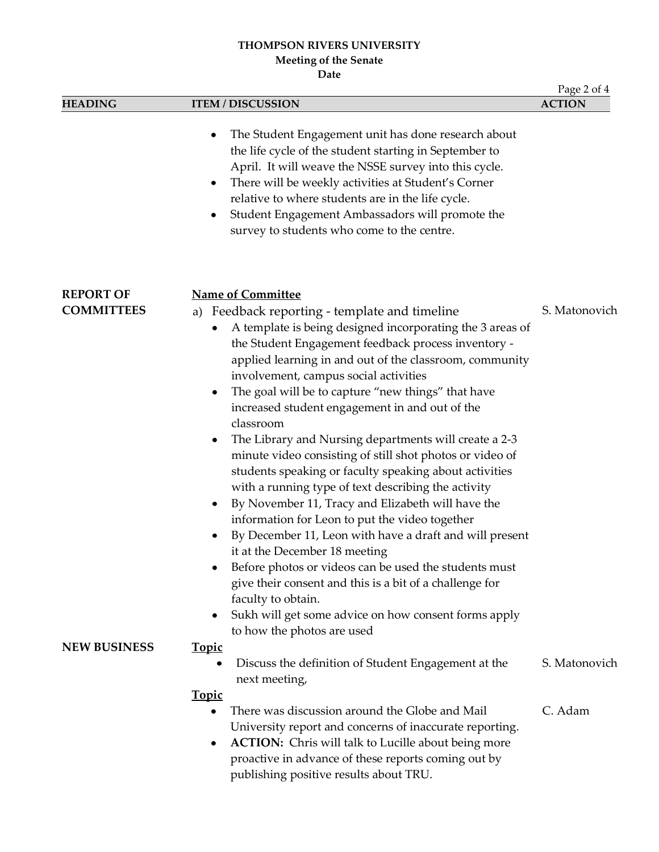# **THOMPSON RIVERS UNIVERSITY Meeting of the Senate**

**Date**

|                                       |                                                                                                                                                                                                                                                                                                                                                                                                                                                                                                                             | Page 2 of 4   |
|---------------------------------------|-----------------------------------------------------------------------------------------------------------------------------------------------------------------------------------------------------------------------------------------------------------------------------------------------------------------------------------------------------------------------------------------------------------------------------------------------------------------------------------------------------------------------------|---------------|
| <b>HEADING</b>                        | <b>ITEM / DISCUSSION</b>                                                                                                                                                                                                                                                                                                                                                                                                                                                                                                    | <b>ACTION</b> |
|                                       | The Student Engagement unit has done research about<br>٠<br>the life cycle of the student starting in September to<br>April. It will weave the NSSE survey into this cycle.<br>There will be weekly activities at Student's Corner<br>٠<br>relative to where students are in the life cycle.<br>Student Engagement Ambassadors will promote the<br>٠<br>survey to students who come to the centre.                                                                                                                          |               |
| <b>REPORT OF</b><br><b>COMMITTEES</b> | <b>Name of Committee</b><br>a) Feedback reporting - template and timeline<br>A template is being designed incorporating the 3 areas of<br>٠<br>the Student Engagement feedback process inventory -<br>applied learning in and out of the classroom, community<br>involvement, campus social activities<br>The goal will be to capture "new things" that have<br>٠                                                                                                                                                           | S. Matonovich |
|                                       | increased student engagement in and out of the<br>classroom<br>The Library and Nursing departments will create a 2-3<br>$\bullet$<br>minute video consisting of still shot photos or video of<br>students speaking or faculty speaking about activities<br>with a running type of text describing the activity<br>By November 11, Tracy and Elizabeth will have the<br>٠<br>information for Leon to put the video together<br>By December 11, Leon with have a draft and will present<br>٠<br>it at the December 18 meeting |               |
|                                       | Before photos or videos can be used the students must<br>give their consent and this is a bit of a challenge for<br>faculty to obtain.<br>Sukh will get some advice on how consent forms apply<br>٠<br>to how the photos are used                                                                                                                                                                                                                                                                                           |               |
| <b>NEW BUSINESS</b>                   | <u>Topic</u><br>Discuss the definition of Student Engagement at the<br>next meeting,                                                                                                                                                                                                                                                                                                                                                                                                                                        | S. Matonovich |
|                                       | <b>Topic</b><br>There was discussion around the Globe and Mail<br>٠<br>University report and concerns of inaccurate reporting.<br><b>ACTION:</b> Chris will talk to Lucille about being more<br>٠<br>proactive in advance of these reports coming out by<br>publishing positive results about TRU.                                                                                                                                                                                                                          | C. Adam       |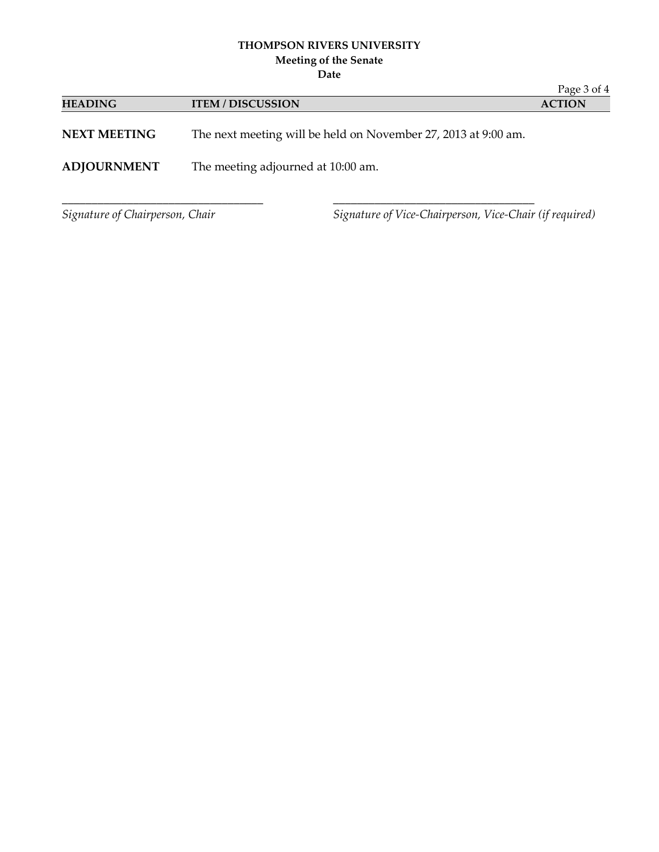### **THOMPSON RIVERS UNIVERSITY Meeting of the Senate**

**Date**

|                                 |                                    |                                                                | Page 3 of 4   |
|---------------------------------|------------------------------------|----------------------------------------------------------------|---------------|
| <b>HEADING</b>                  | <b>ITEM / DISCUSSION</b>           |                                                                | <b>ACTION</b> |
| <b>NEXT MEETING</b>             |                                    | The next meeting will be held on November 27, 2013 at 9:00 am. |               |
| <b>ADJOURNMENT</b>              | The meeting adjourned at 10:00 am. |                                                                |               |
| Signature of Chairperson, Chair |                                    | Signature of Vice-Chairperson, Vice-Chair (if required)        |               |